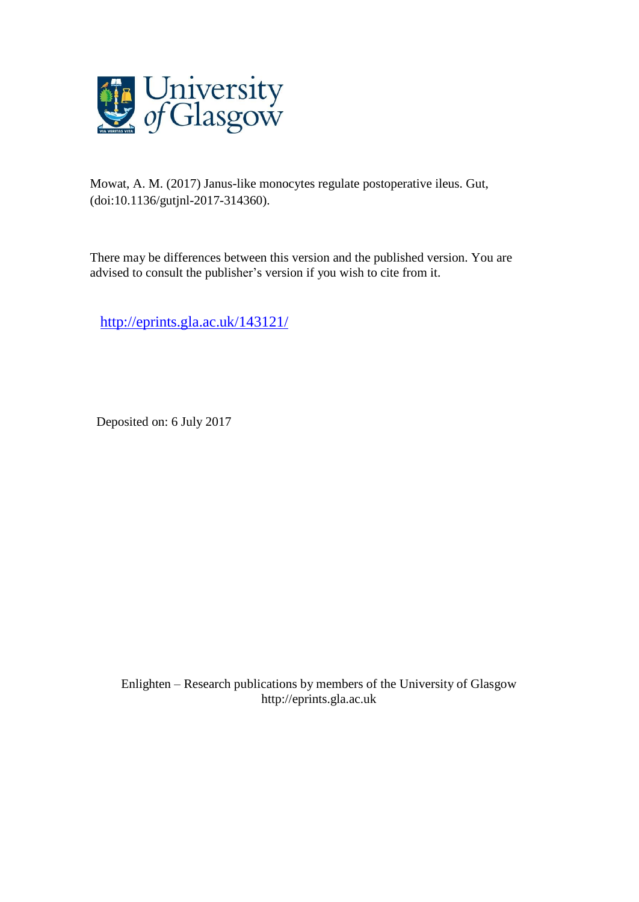

Mowat, A. M. (2017) Janus-like monocytes regulate postoperative ileus. Gut, (doi:10.1136/gutjnl-2017-314360).

There may be differences between this version and the published version. You are advised to consult the publisher's version if you wish to cite from it.

<http://eprints.gla.ac.uk/143121/>

Deposited on: 6 July 2017

Enlighten – Research publications by members of the University of Glasgo[w](http://eprints.gla.ac.uk/) [http://eprints.gla.ac.uk](http://eprints.gla.ac.uk/)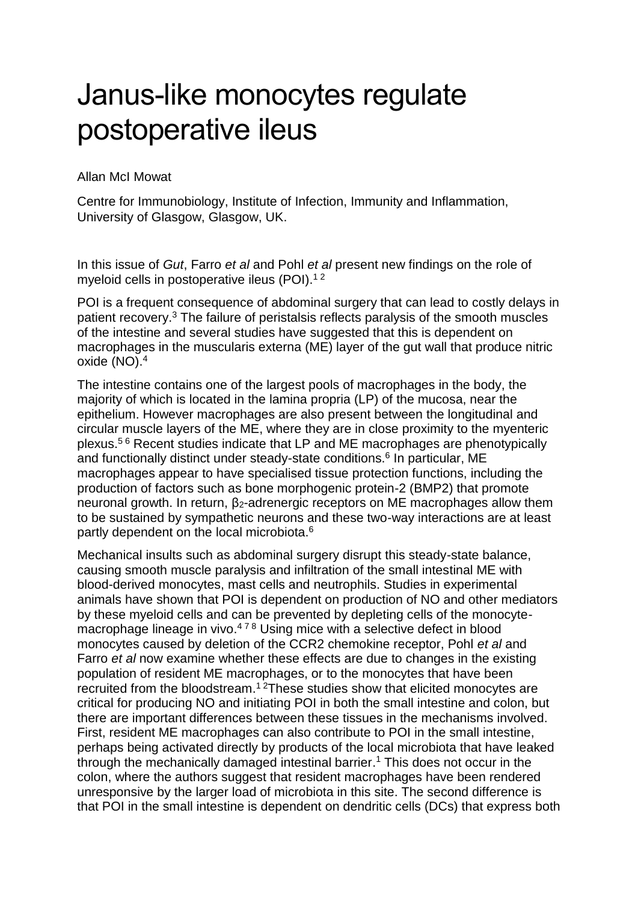## Janus-like monocytes regulate postoperative ileus

## Allan McI Mowat

Centre for Immunobiology, Institute of Infection, Immunity and Inflammation, University of Glasgow, Glasgow, UK.

In this issue of *Gut*, Farro *et al* and Pohl *et al* present new findings on the role of myeloid cells in postoperative ileus (POI).<sup>12</sup>

POI is a frequent consequence of abdominal surgery that can lead to costly delays in patient recovery. <sup>3</sup> The failure of peristalsis reflects paralysis of the smooth muscles of the intestine and several studies have suggested that this is dependent on macrophages in the muscularis externa (ME) layer of the gut wall that produce nitric oxide (NO). 4

The intestine contains one of the largest pools of macrophages in the body, the majority of which is located in the lamina propria (LP) of the mucosa, near the epithelium. However macrophages are also present between the longitudinal and circular muscle layers of the ME, where they are in close proximity to the myenteric plexus. 5 6 Recent studies indicate that LP and ME macrophages are phenotypically and functionally distinct under steady-state conditions. 6 In particular, ME macrophages appear to have specialised tissue protection functions, including the production of factors such as bone morphogenic protein-2 (BMP2) that promote neuronal growth. In return,  $β<sub>2</sub>$ -adrenergic receptors on ME macrophages allow them to be sustained by sympathetic neurons and these two-way interactions are at least partly dependent on the local microbiota.<sup>6</sup>

Mechanical insults such as abdominal surgery disrupt this steady-state balance, causing smooth muscle paralysis and infiltration of the small intestinal ME with blood-derived monocytes, mast cells and neutrophils. Studies in experimental animals have shown that POI is dependent on production of NO and other mediators by these myeloid cells and can be prevented by depleting cells of the monocytemacrophage lineage in vivo.<sup>478</sup> Using mice with a selective defect in blood monocytes caused by deletion of the CCR2 chemokine receptor, Pohl *et al* and Farro *et al* now examine whether these effects are due to changes in the existing population of resident ME macrophages, or to the monocytes that have been recruited from the bloodstream.<sup>12</sup> These studies show that elicited monocytes are critical for producing NO and initiating POI in both the small intestine and colon, but there are important differences between these tissues in the mechanisms involved. First, resident ME macrophages can also contribute to POI in the small intestine, perhaps being activated directly by products of the local microbiota that have leaked through the mechanically damaged intestinal barrier. <sup>1</sup> This does not occur in the colon, where the authors suggest that resident macrophages have been rendered unresponsive by the larger load of microbiota in this site. The second difference is that POI in the small intestine is dependent on dendritic cells (DCs) that express both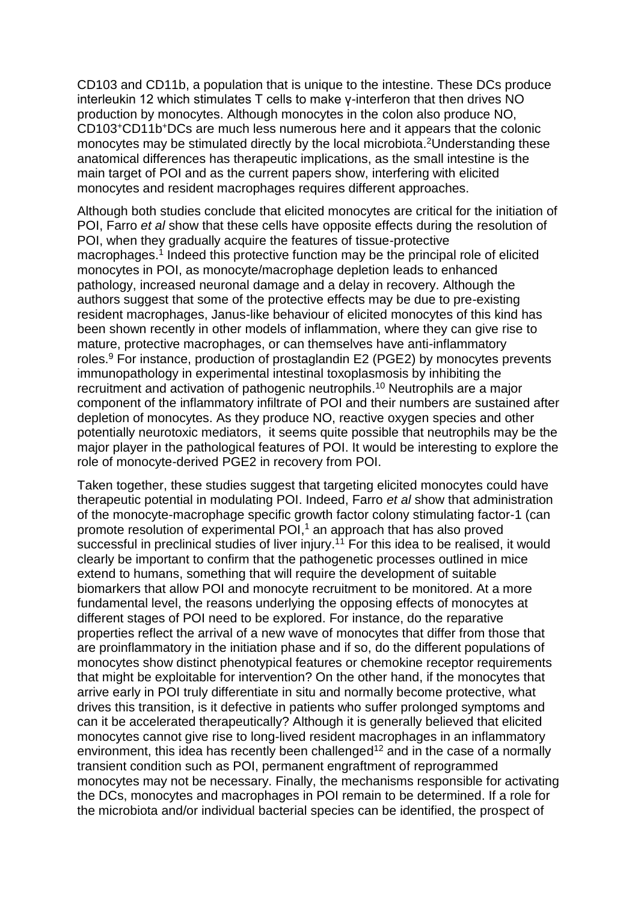CD103 and CD11b, a population that is unique to the intestine. These DCs produce interleukin 12 which stimulates T cells to make γ-interferon that then drives NO production by monocytes. Although monocytes in the colon also produce NO, CD103 <sup>+</sup>CD11b <sup>+</sup>DCs are much less numerous here and it appears that the colonic monocytes may be stimulated directly by the local microbiota. <sup>2</sup>Understanding these anatomical differences has therapeutic implications, as the small intestine is the main target of POI and as the current papers show, interfering with elicited monocytes and resident macrophages requires different approaches.

Although both studies conclude that elicited monocytes are critical for the initiation of POI, Farro *et al* show that these cells have opposite effects during the resolution of POI, when they gradually acquire the features of tissue-protective macrophages. 1 Indeed this protective function may be the principal role of elicited monocytes in POI, as monocyte/macrophage depletion leads to enhanced pathology, increased neuronal damage and a delay in recovery. Although the authors suggest that some of the protective effects may be due to pre-existing resident macrophages, Janus-like behaviour of elicited monocytes of this kind has been shown recently in other models of inflammation, where they can give rise to mature, protective macrophages, or can themselves have anti-inflammatory roles. <sup>9</sup> For instance, production of prostaglandin E2 (PGE2) by monocytes prevents immunopathology in experimental intestinal toxoplasmosis by inhibiting the recruitment and activation of pathogenic neutrophils. <sup>10</sup> Neutrophils are a major component of the inflammatory infiltrate of POI and their numbers are sustained after depletion of monocytes. As they produce NO, reactive oxygen species and other potentially neurotoxic mediators, it seems quite possible that neutrophils may be the major player in the pathological features of POI. It would be interesting to explore the role of monocyte-derived PGE2 in recovery from POI.

Taken together, these studies suggest that targeting elicited monocytes could have therapeutic potential in modulating POI. Indeed, Farro *et al* show that administration of the monocyte-macrophage specific growth factor colony stimulating factor-1 (can promote resolution of experimental POI, <sup>1</sup> an approach that has also proved successful in preclinical studies of liver injury.<sup>11</sup> For this idea to be realised, it would clearly be important to confirm that the pathogenetic processes outlined in mice extend to humans, something that will require the development of suitable biomarkers that allow POI and monocyte recruitment to be monitored. At a more fundamental level, the reasons underlying the opposing effects of monocytes at different stages of POI need to be explored. For instance, do the reparative properties reflect the arrival of a new wave of monocytes that differ from those that are proinflammatory in the initiation phase and if so, do the different populations of monocytes show distinct phenotypical features or chemokine receptor requirements that might be exploitable for intervention? On the other hand, if the monocytes that arrive early in POI truly differentiate in situ and normally become protective, what drives this transition, is it defective in patients who suffer prolonged symptoms and can it be accelerated therapeutically? Although it is generally believed that elicited monocytes cannot give rise to long-lived resident macrophages in an inflammatory environment, this idea has recently been challenged<sup>12</sup> and in the case of a normally transient condition such as POI, permanent engraftment of reprogrammed monocytes may not be necessary. Finally, the mechanisms responsible for activating the DCs, monocytes and macrophages in POI remain to be determined. If a role for the microbiota and/or individual bacterial species can be identified, the prospect of